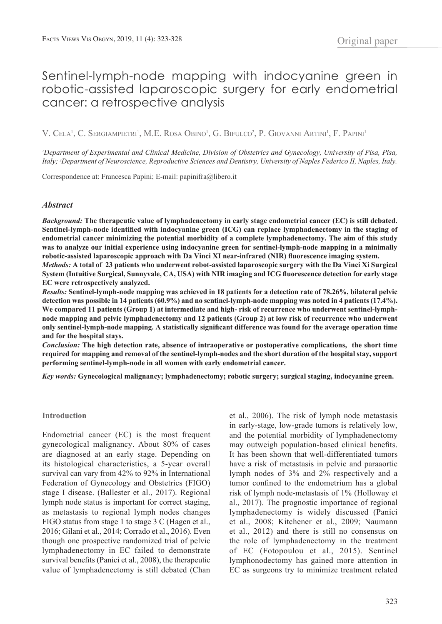# Sentinel-lymph-node mapping with indocyanine green in robotic-assisted laparoscopic surgery for early endometrial cancer: a retrospective analysis

V. Cela<sup>1</sup>, C. Sergiampietri<sup>1</sup>, M.E. Rosa Obino<sup>1</sup>, G. Bifulco<sup>2</sup>, P. Giovanni Artini<sup>1</sup>, F. Papini<sup>1</sup>

<sup>*I*</sup> Department of Experimental and Clinical Medicine, Division of Obstetrics and Gynecology, University of Pisa, Pisa, *Italy; 2 Department of Neuroscience, Reproductive Sciences and Dentistry, University of Naples Federico II, Naples, Italy.*

Correspondence at: Francesca Papini; E-mail: papinifra@libero.it

# *Abstract*

*Background:* **The therapeutic value of lymphadenectomy in early stage endometrial cancer (EC) is still debated. Sentinel-lymph-node identified with indocyanine green (ICG) can replace lymphadenectomy in the staging of endometrial cancer minimizing the potential morbidity of a complete lymphadenectomy. The aim of this study was to analyze our initial experience using indocyanine green for sentinel-lymph-node mapping in a minimally robotic-assisted laparoscopic approach with Da Vinci XI near-infrared (NIR) fluorescence imaging system.**

*Methods:* **A total of 23 patients who underwent robot-assisted laparoscopic surgery with the Da Vinci Xi Surgical System (Intuitive Surgical, Sunnyvale, CA, USA) with NIR imaging and ICG fluorescence detection for early stage EC were retrospectively analyzed.** 

*Results:* **Sentinel-lymph-node mapping was achieved in 18 patients for a detection rate of 78.26%, bilateral pelvic detection was possible in 14 patients (60.9%) and no sentinel-lymph-node mapping was noted in 4 patients (17.4%).**  We compared 11 patients (Group 1) at intermediate and high- risk of recurrence who underwent sentinel-lymph**node mapping and pelvic lymphadenectomy and 12 patients (Group 2) at low risk of recurrence who underwent only sentinel-lymph-node mapping. A statistically significant difference was found for the average operation time and for the hospital stays.** 

*Conclusion:* **The high detection rate, absence of intraoperative or postoperative complications, the short time required for mapping and removal of the sentinel-lymph-nodes and the short duration of the hospital stay, support performing sentinel-lymph-node in all women with early endometrial cancer.** 

*Key words:* **Gynecological malignancy; lymphadenectomy; robotic surgery; surgical staging, indocyanine green.** 

#### **Introduction**

Endometrial cancer (EC) is the most frequent gynecological malignancy. About 80% of cases are diagnosed at an early stage. Depending on its histological characteristics, a 5-year overall survival can vary from 42% to 92% in International Federation of Gynecology and Obstetrics (FIGO) stage I disease. (Ballester et al., 2017). Regional lymph node status is important for correct staging, as metastasis to regional lymph nodes changes FIGO status from stage 1 to stage 3 C (Hagen et al., 2016; Gilani et al., 2014; Corrado et al., 2016). Even though one prospective randomized trial of pelvic lymphadenectomy in EC failed to demonstrate survival benefits (Panici et al., 2008), the therapeutic value of lymphadenectomy is still debated (Chan et al., 2006). The risk of lymph node metastasis in early-stage, low-grade tumors is relatively low, and the potential morbidity of lymphadenectomy may outweigh population-based clinical benefits. It has been shown that well-differentiated tumors have a risk of metastasis in pelvic and paraaortic lymph nodes of 3% and 2% respectively and a tumor confined to the endometrium has a global risk of lymph node-metastasis of 1% (Holloway et al., 2017). The prognostic importance of regional lymphadenectomy is widely discussed (Panici et al., 2008; Kitchener et al., 2009; Naumann et al., 2012) and there is still no consensus on the role of lymphadenectomy in the treatment of EC (Fotopoulou et al., 2015). Sentinel lymphonodectomy has gained more attention in EC as surgeons try to minimize treatment related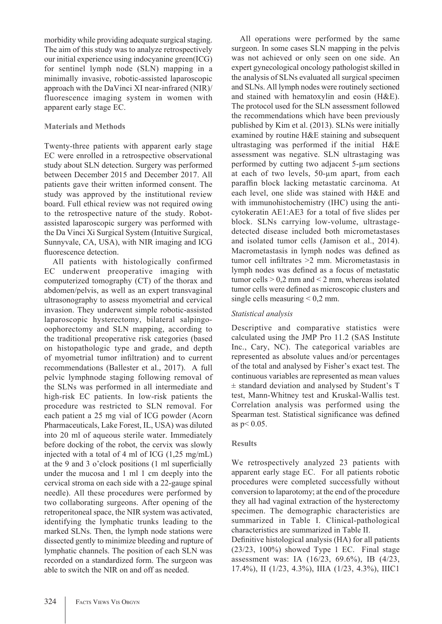morbidity while providing adequate surgical staging. The aim of this study was to analyze retrospectively our initial experience using indocyanine green(ICG) for sentinel lymph node (SLN) mapping in a minimally invasive, robotic-assisted laparoscopic approach with the DaVinci XI near-infrared (NIR)/ fluorescence imaging system in women with apparent early stage EC.

# **Materials and Methods**

Twenty-three patients with apparent early stage EC were enrolled in a retrospective observational study about SLN detection. Surgery was performed between December 2015 and December 2017. All patients gave their written informed consent. The study was approved by the institutional review board. Full ethical review was not required owing to the retrospective nature of the study. Robotassisted laparoscopic surgery was performed with the Da Vinci Xi Surgical System (Intuitive Surgical, Sunnyvale, CA, USA), with NIR imaging and ICG fluorescence detection.

All patients with histologically confirmed EC underwent preoperative imaging with computerized tomography (CT) of the thorax and abdomen/pelvis, as well as an expert transvaginal ultrasonography to assess myometrial and cervical invasion. They underwent simple robotic-assisted laparoscopic hysterectomy, bilateral salpingooophorectomy and SLN mapping, according to the traditional preoperative risk categories (based on histopathologic type and grade, and depth of myometrial tumor infiltration) and to current recommendations (Ballester et al., 2017). A full pelvic lymphnode staging following removal of the SLNs was performed in all intermediate and high-risk EC patients. In low-risk patients the procedure was restricted to SLN removal. For each patient a 25 mg vial of ICG powder (Acorn Pharmaceuticals, Lake Forest, IL, USA) was diluted into 20 ml of aqueous sterile water. Immediately before docking of the robot, the cervix was slowly injected with a total of 4 ml of ICG (1,25 mg/mL) at the 9 and 3 o'clock positions (1 ml superficially under the mucosa and 1 ml 1 cm deeply into the cervical stroma on each side with a 22-gauge spinal needle). All these procedures were performed by two collaborating surgeons. After opening of the retroperitoneal space, the NIR system was activated, identifying the lymphatic trunks leading to the marked SLNs. Then, the lymph node stations were dissected gently to minimize bleeding and rupture of lymphatic channels. The position of each SLN was recorded on a standardized form. The surgeon was able to switch the NIR on and off as needed.

All operations were performed by the same surgeon. In some cases SLN mapping in the pelvis was not achieved or only seen on one side. An expert gynecological oncology pathologist skilled in the analysis of SLNs evaluated all surgical specimen and SLNs. All lymph nodes were routinely sectioned and stained with hematoxylin and eosin (H&E). The protocol used for the SLN assessment followed the recommendations which have been previously published by Kim et al. (2013). SLNs were initially examined by routine H&E staining and subsequent ultrastaging was performed if the initial H&E assessment was negative. SLN ultrastaging was performed by cutting two adjacent 5-µm sections at each of two levels, 50-µm apart, from each paraffin block lacking metastatic carcinoma. At each level, one slide was stained with H&E and with immunohistochemistry (IHC) using the anticytokeratin AE1:AE3 for a total of five slides per block. SLNs carrying low-volume, ultrastagedetected disease included both micrometastases and isolated tumor cells (Jamison et al., 2014). Macrometastasis in lymph nodes was defined as tumor cell infiltrates >2 mm. Micrometastasis in lymph nodes was defined as a focus of metastatic tumor cells  $> 0.2$  mm and  $< 2$  mm, whereas isolated tumor cells were defined as microscopic clusters and single cells measuring  $< 0.2$  mm.

# *Statistical analysis*

Descriptive and comparative statistics were calculated using the JMP Pro 11.2 (SAS Institute Inc., Cary, NC). The categorical variables are represented as absolute values and/or percentages of the total and analysed by Fisher's exact test. The continuous variables are represented as mean values ± standard deviation and analysed by Student's T test, Mann-Whitney test and Kruskal-Wallis test. Correlation analysis was performed using the Spearman test. Statistical significance was defined as  $p < 0.05$ .

# **Results**

We retrospectively analyzed 23 patients with apparent early stage EC. For all patients robotic procedures were completed successfully without conversion to laparotomy; at the end of the procedure they all had vaginal extraction of the hysterectomy specimen. The demographic characteristics are summarized in Table I. Clinical-pathological characteristics are summarized in Table II.

Definitive histological analysis (HA) for all patients (23/23, 100%) showed Type 1 EC. Final stage assessment was: IA (16/23, 69.6%), IB (4/23, 17.4%), II (1/23, 4.3%), IIIA (1/23, 4.3%), IIIC1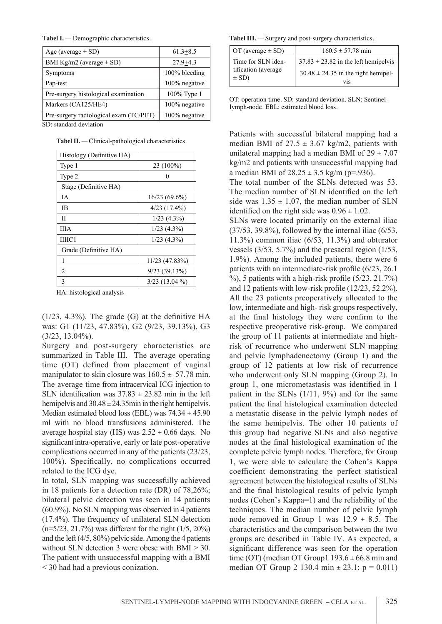| Age (average $\pm$ SD)                 | $61.3 + 8.5$  |
|----------------------------------------|---------------|
| BMI Kg/m2 (average $\pm$ SD)           | $27.9 + 4.3$  |
| Symptoms                               | 100% bleeding |
| Pap-test                               | 100% negative |
| Pre-surgery histological examination   | 100% Type 1   |
| Markers (CA125/HE4)                    | 100% negative |
| Pre-surgery radiological exam (TC/PET) | 100% negative |

SD: standard deviation

**Tabel II.** *—* Clinical-pathological characteristics.

| Histology (Definitive HA) |                   |
|---------------------------|-------------------|
| Type 1                    | 23 (100%)         |
| Type 2                    |                   |
| Stage (Definitive HA)     |                   |
| IΑ                        | $16/23(69.6\%)$   |
| ΙB                        | $4/23$ $(17.4\%)$ |
| П                         | $1/23$ $(4.3\%)$  |
| <b>IIIA</b>               | $1/23$ $(4.3\%)$  |
| ШІС1                      | $1/23$ $(4.3\%)$  |
| Grade (Definitive HA)     |                   |
| 1                         | $11/23$ (47.83%)  |
| $\overline{2}$            | 9/23(39.13%)      |
| 3                         | $3/23$ (13.04 %)  |

HA: histological analysis

 $(1/23, 4.3%)$ . The grade  $(G)$  at the definitive HA was: G1 (11/23, 47.83%), G2 (9/23, 39.13%), G3  $(3/23, 13.04\%)$ .

Surgery and post-surgery characteristics are summarized in Table III. The average operating time (OT) defined from placement of vaginal manipulator to skin closure was  $160.5 \pm 57.78$  min. The average time from intracervical ICG injection to SLN identification was  $37.83 \pm 23.82$  min in the left hemipelvis and  $30.48 \pm 24.35$  min in the right hemipelvis. Median estimated blood loss (EBL) was  $74.34 \pm 45.90$ ml with no blood transfusions administered. The average hospital stay (HS) was  $2.52 \pm 0.66$  days. No significant intra-operative, early or late post-operative complications occurred in any of the patients (23/23, 100%). Specifically, no complications occurred related to the ICG dye.

In total, SLN mapping was successfully achieved in 18 patients for a detection rate (DR) of 78,26%; bilateral pelvic detection was seen in 14 patients (60.9%). No SLN mapping was observed in 4 patients (17.4%). The frequency of unilateral SLN detection (n=5/23, 21.7%) was different for the right (1/5, 20%) and the left (4/5, 80%) pelvic side. Among the 4 patients without SLN detection 3 were obese with BMI  $>$  30. The patient with unsuccessful mapping with a BMI < 30 had had a previous conization.

**Tabel I.** *—* Demographic characteristics. **Tabel III.** *—* Surgery and post-surgery characteristics.

| $\overline{OT}$ (average $\pm$ SD) | $160.5 \pm 57.78$ min                          |  |
|------------------------------------|------------------------------------------------|--|
| Time for SLN iden-                 | $37.83 \pm 23.82$ in the left hemipelvis       |  |
| tification (average)<br>$\pm$ SD)  | $30.48 \pm 24.35$ in the right hemipel-<br>V1S |  |

OT: operation time. SD: standard deviation. SLN: Sentinellymph-node. EBL: estimated blood loss.

Patients with successful bilateral mapping had a median BMI of  $27.5 \pm 3.67$  kg/m2, patients with unilateral mapping had a median BMI of  $29 \pm 7.07$ kg/m2 and patients with unsuccessful mapping had a median BMI of  $28.25 \pm 3.5$  kg/m (p=.936).

The total number of the SLNs detected was 53. The median number of SLN identified on the left side was  $1.35 \pm 1.07$ , the median number of SLN identified on the right side was  $0.96 \pm 1.02$ .

SLNs were located primarily on the external iliac  $(37/53, 39.8\%)$ , followed by the internal iliac  $(6/53, 10.5\%)$ 11.3%) common iliac (6/53, 11.3%) and obturator vessels (3/53, 5.7%) and the presacral region (1/53, 1.9%). Among the included patients, there were 6 patients with an intermediate-risk profile (6/23, 26.1  $\%$ ), 5 patients with a high-risk profile (5/23, 21.7%) and 12 patients with low-risk profile (12/23, 52.2%). All the 23 patients preoperatively allocated to the low, intermediate and high- risk groups respectively, at the final histology they were confirm to the respective preoperative risk-group. We compared the group of 11 patients at intermediate and highrisk of recurrence who underwent SLN mapping and pelvic lymphadenectomy (Group 1) and the group of 12 patients at low risk of recurrence who underwent only SLN mapping (Group 2). In group 1, one micrometastasis was identified in 1 patient in the SLNs  $(1/11, 9%)$  and for the same patient the final histological examination detected a metastatic disease in the pelvic lymph nodes of the same hemipelvis. The other 10 patients of this group had negative SLNs and also negative nodes at the final histological examination of the complete pelvic lymph nodes. Therefore, for Group 1, we were able to calculate the Cohen's Kappa coefficient demonstrating the perfect statistical agreement between the histological results of SLNs and the final histological results of pelvic lymph nodes (Cohen's Kappa=1) and the reliability of the techniques. The median number of pelvic lymph node removed in Group 1 was  $12.9 \pm 8.5$ . The characteristics and the comparison between the two groups are described in Table IV. As expected, a significant difference was seen for the operation time (OT) (median OT Group1  $193.6 \pm 66.8$  min and median OT Group 2 130.4 min  $\pm$  23.1; p = 0.011)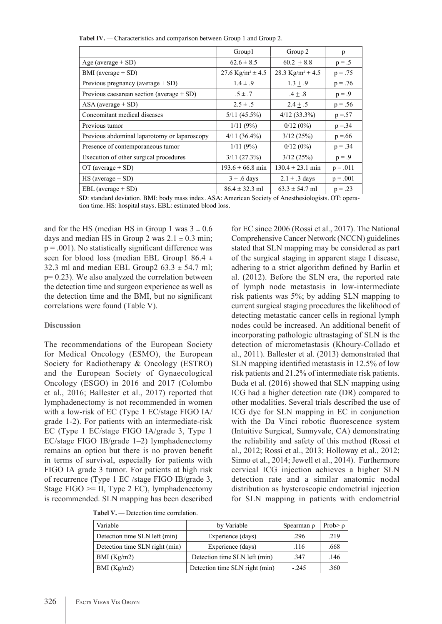**Tabel IV.** *—* Characteristics and comparison between Group 1 and Group 2.

|                                              | Group1                           | Group 2                          | p          |
|----------------------------------------------|----------------------------------|----------------------------------|------------|
| Age (average $+$ SD)                         | $62.6 \pm 8.5$                   | $60.2 + 8.8$                     | $p = .5$   |
| BMI (average $+$ SD)                         | 27.6 Kg/m <sup>2</sup> $\pm$ 4.5 | 28.3 Kg/m <sup>2</sup> $\pm$ 4.5 | $p = .75$  |
| Previous pregnancy (average $+$ SD)          | $1.4 \pm .9$                     | $1.3 \pm .9$                     | $p = .76$  |
| Previous caesarean section (average $+$ SD)  | $.5 \pm .7$                      | $.4 \pm .8$                      | $p = .9$   |
| $ASA$ (average $+ SD$ )                      | $2.5 \pm .5$                     | $2.4 + .5$                       | $p = .56$  |
| Concomitant medical diseases                 | $5/11$ (45.5%)                   | $4/12$ (33.3%)                   | $p = 57$   |
| Previous tumor                               | 1/11(9%)                         | $0/12(0\%)$                      | $p = 34$   |
| Previous abdominal laparotomy or laparoscopy | $4/11(36.4\%)$                   | 3/12(25%)                        | $p = 66$   |
| Presence of contemporaneous tumor            | 1/11(9%)                         | $0/12(0\%)$                      | $p = .34$  |
| Execution of other surgical procedures       | 3/11(27.3%)                      | 3/12(25%)                        | $p = .9$   |
| OT (average $+$ SD)                          | $193.6 \pm 66.8$ min             | $130.4 \pm 23.1$ min             | $p = .011$ |
| $HS$ (average + SD)                          | $3 \pm .6$ days                  | $2.1 \pm .3$ days                | $p = .001$ |
| $EBL$ (average $+ SD$ )                      | $86.4 \pm 32.3$ ml               | $63.3 \pm 54.7$ ml               | $p = .23$  |

SD: standard deviation. BMI: body mass index. ASA: American Society of Anesthesiologists. OT: operation time. HS: hospital stays. EBL: estimated blood loss.

and for the HS (median HS in Group 1 was  $3 \pm 0.6$ days and median HS in Group 2 was  $2.1 \pm 0.3$  min;  $p = .001$ ). No statistically significant difference was seen for blood loss (median EBL Group1 86.4  $\pm$ 32.3 ml and median EBL Group2  $63.3 \pm 54.7$  ml; p= 0.23). We also analyzed the correlation between the detection time and surgeon experience as well as the detection time and the BMI, but no significant correlations were found (Table V).

### **Discussion**

The recommendations of the European Society for Medical Oncology (ESMO), the European Society for Radiotherapy & Oncology (ESTRO) and the European Society of Gynaecological Oncology (ESGO) in 2016 and 2017 (Colombo et al., 2016; Ballester et al., 2017) reported that lymphadenectomy is not recommended in women with a low-risk of EC (Type 1 EC/stage FIGO IA/ grade 1-2). For patients with an intermediate-risk EC (Type 1 EC/stage FIGO IA/grade 3, Type 1 EC/stage FIGO IB/grade 1–2) lymphadenectomy remains an option but there is no proven benefit in terms of survival, especially for patients with FIGO IA grade 3 tumor. For patients at high risk of recurrence (Type 1 EC /stage FIGO IB/grade 3, Stage FIGO >= II, Type 2 EC), lymphadenectomy is recommended. SLN mapping has been described

**Tabel V.** *—* Detection time correlation.

for EC since 2006 (Rossi et al., 2017). The National Comprehensive Cancer Network (NCCN) guidelines stated that SLN mapping may be considered as part of the surgical staging in apparent stage I disease, adhering to a strict algorithm defined by Barlin et al. (2012). Before the SLN era, the reported rate of lymph node metastasis in low-intermediate risk patients was 5%; by adding SLN mapping to current surgical staging procedures the likelihood of detecting metastatic cancer cells in regional lymph nodes could be increased. An additional benefit of incorporating pathologic ultrastaging of SLN is the detection of micrometastasis (Khoury-Collado et al., 2011). Ballester et al. (2013) demonstrated that SLN mapping identified metastasis in 12.5% of low risk patients and 21.2% of intermediate risk patients. Buda et al. (2016) showed that SLN mapping using ICG had a higher detection rate (DR) compared to other modalities. Several trials described the use of ICG dye for SLN mapping in EC in conjunction with the Da Vinci robotic fluorescence system (Intuitive Surgical, Sunnyvale, CA) demonstrating the reliability and safety of this method (Rossi et al., 2012; Rossi et al., 2013; Holloway et al., 2012; Sinno et al., 2014; Jewell et al., 2014). Furthermore cervical ICG injection achieves a higher SLN detection rate and a similar anatomic nodal distribution as hysteroscopic endometrial injection for SLN mapping in patients with endometrial

| Variable                       | by Variable                    | Spearman $\rho$ | Prob $\geq \rho$ |
|--------------------------------|--------------------------------|-----------------|------------------|
| Detection time SLN left (min)  | Experience (days)              | .296            | .219             |
| Detection time SLN right (min) | Experience (days)              | .116            | .668             |
| BMI (Kg/m2)                    | Detection time SLN left (min)  | .347            | .146             |
| BMI (Kg/m2)                    | Detection time SLN right (min) | $-245$          | .360             |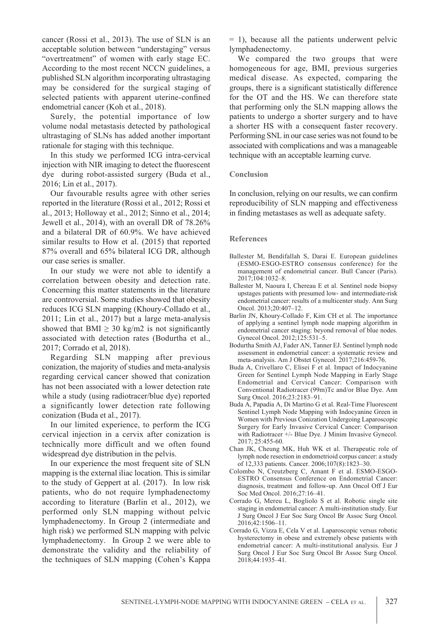cancer (Rossi et al., 2013). The use of SLN is an acceptable solution between "understaging" versus "overtreatment" of women with early stage EC. According to the most recent NCCN guidelines, a published SLN algorithm incorporating ultrastaging may be considered for the surgical staging of selected patients with apparent uterine-confined endometrial cancer (Koh et al., 2018).

Surely, the potential importance of low volume nodal metastasis detected by pathological ultrastaging of SLNs has added another important rationale for staging with this technique.

In this study we performed ICG intra-cervical injection with NIR imaging to detect the fluorescent dye during robot-assisted surgery (Buda et al., 2016; Lin et al., 2017).

Our favourable results agree with other series reported in the literature (Rossi et al., 2012; Rossi et al., 2013; Holloway et al., 2012; Sinno et al., 2014; Jewell et al., 2014), with an overall DR of 78.26% and a bilateral DR of 60.9%. We have achieved similar results to How et al. (2015) that reported 87% overall and 65% bilateral ICG DR, although our case series is smaller.

In our study we were not able to identify a correlation between obesity and detection rate. Concerning this matter statements in the literature are controversial. Some studies showed that obesity reduces ICG SLN mapping (Khoury-Collado et al., 2011; Lin et al., 2017) but a large meta-analysis showed that BMI  $\geq$  30 kg/m2 is not significantly associated with detection rates (Bodurtha et al., 2017; Corrado et al, 2018).

Regarding SLN mapping after previous conization, the majority of studies and meta-analysis regarding cervical cancer showed that conization has not been associated with a lower detection rate while a study (using radiotracer/blue dye) reported a significantly lower detection rate following conization (Buda et al., 2017).

In our limited experience, to perform the ICG cervical injection in a cervix after conization is technically more difficult and we often found widespread dye distribution in the pelvis.

In our experience the most frequent site of SLN mapping is the external iliac location. This is similar to the study of Geppert at al. (2017). In low risk patients, who do not require lymphadenectomy according to literature (Barlin et al., 2012), we performed only SLN mapping without pelvic lymphadenectomy. In Group 2 (intermediate and high risk) we performed SLN mapping with pelvic lymphadenectomy. In Group 2 we were able to demonstrate the validity and the reliability of the techniques of SLN mapping (Cohen's Kappa  $= 1$ ), because all the patients underwent pelvic lymphadenectomy.

We compared the two groups that were homogeneous for age, BMI, previous surgeries medical disease. As expected, comparing the groups, there is a significant statistically difference for the OT and the HS. We can therefore state that performing only the SLN mapping allows the patients to undergo a shorter surgery and to have a shorter HS with a consequent faster recovery. Performing SNL in our case series was not found to be associated with complications and was a manageable technique with an acceptable learning curve.

### **Conclusion**

In conclusion, relying on our results, we can confirm reproducibility of SLN mapping and effectiveness in finding metastases as well as adequate safety.

# **References**

- Ballester M, Bendifallah S, Darai E. European guidelines (ESMO-ESGO-ESTRO consensus conference) for the management of endometrial cancer. Bull Cancer (Paris). 2017;104:1032–8.
- Ballester M, Naoura I, Chereau E et al. Sentinel node biopsy upstages patients with presumed low- and intermediate-risk endometrial cancer: results of a multicenter study. Ann Surg Oncol. 2013;20:407–12.
- Barlin JN, Khoury-Collado F, Kim CH et al. The importance of applying a sentinel lymph node mapping algorithm in endometrial cancer staging: beyond removal of blue nodes. Gynecol Oncol. 2012;125:531–5.
- Bodurtha Smith AJ, Fader AN, Tanner EJ. Sentinel lymph node assessment in endometrial cancer: a systematic review and meta-analysis. Am J Obstet Gynecol. 2017;216:459-76.
- Buda A, Crivellaro C, Elisei F et al. Impact of Indocyanine Green for Sentinel Lymph Node Mapping in Early Stage Endometrial and Cervical Cancer: Comparison with Conventional Radiotracer (99m)Tc and/or Blue Dye. Ann Surg Oncol. 2016;23:2183–91.
- Buda A, Papadia A, Di Martino G et al. Real-Time Fluorescent Sentinel Lymph Node Mapping with Indocyanine Green in Women with Previous Conization Undergoing Laparoscopic Surgery for Early Invasive Cervical Cancer: Comparison with Radiotracer +/- Blue Dye. J Minim Invasive Gynecol. 2017; 25:455-60.
- Chan JK, Cheung MK, Huh WK et al. Therapeutic role of lymph node resection in endometrioid corpus cancer: a study of 12,333 patients. Cancer. 2006;107(8):1823–30.
- Colombo N, Creutzberg C, Amant F et al. ESMO-ESGO-ESTRO Consensus Conference on Endometrial Cancer: diagnosis, treatment and follow-up. Ann Oncol Off J Eur Soc Med Oncol. 2016;27:16–41.
- Corrado G, Mereu L, Bogliolo S et al. Robotic single site staging in endometrial cancer: A multi-institution study. Eur J Surg Oncol J Eur Soc Surg Oncol Br Assoc Surg Oncol. 2016;42:1506–11.
- Corrado G, Vizza E, Cela V et al. Laparoscopic versus robotic hysterectomy in obese and extremely obese patients with endometrial cancer: A multi-institutional analysis. Eur J Surg Oncol J Eur Soc Surg Oncol Br Assoc Surg Oncol. 2018;44:1935–41.